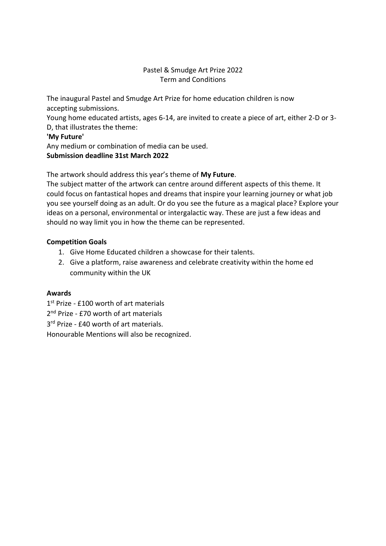## Pastel & Smudge Art Prize 2022 Term and Conditions

The inaugural Pastel and Smudge Art Prize for home education children is now accepting submissions.

Young home educated artists, ages 6-14, are invited to create a piece of art, either 2-D or 3- D, that illustrates the theme:

### **'My Future'**

Any medium or combination of media can be used. **Submission deadline 31st March 2022**

The artwork should address this year's theme of **My Future**.

The subject matter of the artwork can centre around different aspects of this theme. It could focus on fantastical hopes and dreams that inspire your learning journey or what job you see yourself doing as an adult. Or do you see the future as a magical place? Explore your ideas on a personal, environmental or intergalactic way. These are just a few ideas and should no way limit you in how the theme can be represented.

## **Competition Goals**

- 1. Give Home Educated children a showcase for their talents.
- 2. Give a platform, raise awareness and celebrate creativity within the home ed community within the UK

## **Awards**

- 1st Prize £100 worth of art materials
- 2<sup>nd</sup> Prize £70 worth of art materials
- 3<sup>rd</sup> Prize £40 worth of art materials.

Honourable Mentions will also be recognized.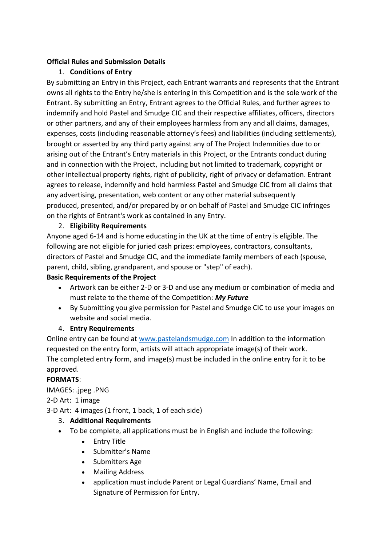## **Official Rules and Submission Details**

# 1. **Conditions of Entry**

By submitting an Entry in this Project, each Entrant warrants and represents that the Entrant owns all rights to the Entry he/she is entering in this Competition and is the sole work of the Entrant. By submitting an Entry, Entrant agrees to the Official Rules, and further agrees to indemnify and hold Pastel and Smudge CIC and their respective affiliates, officers, directors or other partners, and any of their employees harmless from any and all claims, damages, expenses, costs (including reasonable attorney's fees) and liabilities (including settlements), brought or asserted by any third party against any of The Project Indemnities due to or arising out of the Entrant's Entry materials in this Project, or the Entrants conduct during and in connection with the Project, including but not limited to trademark, copyright or other intellectual property rights, right of publicity, right of privacy or defamation. Entrant agrees to release, indemnify and hold harmless Pastel and Smudge CIC from all claims that any advertising, presentation, web content or any other material subsequently produced, presented, and/or prepared by or on behalf of Pastel and Smudge CIC infringes on the rights of Entrant's work as contained in any Entry.

## 2. **Eligibility Requirements**

Anyone aged 6-14 and is home educating in the UK at the time of entry is eligible. The following are not eligible for juried cash prizes: employees, contractors, consultants, directors of Pastel and Smudge CIC, and the immediate family members of each (spouse, parent, child, sibling, grandparent, and spouse or "step" of each).

## **Basic Requirements of the Project**

- Artwork can be either 2-D or 3-D and use any medium or combination of media and must relate to the theme of the Competition: *My Future*
- By Submitting you give permission for Pastel and Smudge CIC to use your images on website and social media.

# 4. **Entry Requirements**

Online entry can be found at [www.pastelandsmudge.com](http://www.pastelandsmudge.com/) In addition to the information requested on the entry form, artists will attach appropriate image(s) of their work. The completed entry form, and image(s) must be included in the online entry for it to be approved.

# **FORMATS**:

IMAGES: .jpeg .PNG

2-D Art: 1 image

3-D Art: 4 images (1 front, 1 back, 1 of each side)

- 3. **Additional Requirements**
- To be complete, all applications must be in English and include the following:
	- Entry Title
	- Submitter's Name
	- Submitters Age
	- Mailing Address
	- application must include Parent or Legal Guardians' Name, Email and Signature of Permission for Entry.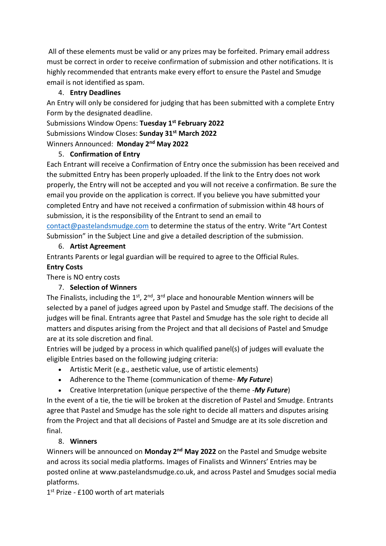All of these elements must be valid or any prizes may be forfeited. Primary email address must be correct in order to receive confirmation of submission and other notifications. It is highly recommended that entrants make every effort to ensure the Pastel and Smudge email is not identified as spam.

# 4. **Entry Deadlines**

An Entry will only be considered for judging that has been submitted with a complete Entry Form by the designated deadline.

Submissions Window Opens: **Tuesday 1st February 2022** Submissions Window Closes: **Sunday 31st March 2022** Winners Announced: **Monday 2nd May 2022**

# 5. **Confirmation of Entry**

Each Entrant will receive a Confirmation of Entry once the submission has been received and the submitted Entry has been properly uploaded. If the link to the Entry does not work properly, the Entry will not be accepted and you will not receive a confirmation. Be sure the email you provide on the application is correct. If you believe you have submitted your completed Entry and have not received a confirmation of submission within 48 hours of submission, it is the responsibility of the Entrant to send an email to [contact@pastelandsmudge.com](mailto:contact@pastelandsmudge.com) to determine the status of the entry. Write "Art Contest Submission" in the Subject Line and give a detailed description of the submission.

# 6. **Artist Agreement**

Entrants Parents or legal guardian will be required to agree to the Official Rules.

# **Entry Costs**

There is NO entry costs

# 7. **Selection of Winners**

The Finalists, including the  $1<sup>st</sup>$ ,  $2<sup>nd</sup>$ ,  $3<sup>rd</sup>$  place and honourable Mention winners will be selected by a panel of judges agreed upon by Pastel and Smudge staff. The decisions of the judges will be final. Entrants agree that Pastel and Smudge has the sole right to decide all matters and disputes arising from the Project and that all decisions of Pastel and Smudge are at its sole discretion and final.

Entries will be judged by a process in which qualified panel(s) of judges will evaluate the eligible Entries based on the following judging criteria:

- Artistic Merit (e.g., aesthetic value, use of artistic elements)
- Adherence to the Theme (communication of theme- *My Future*)
- Creative Interpretation (unique perspective of the theme -*My Future*)

In the event of a tie, the tie will be broken at the discretion of Pastel and Smudge. Entrants agree that Pastel and Smudge has the sole right to decide all matters and disputes arising from the Project and that all decisions of Pastel and Smudge are at its sole discretion and final.

# 8. **Winners**

Winners will be announced on **Monday 2nd May 2022** on the Pastel and Smudge website and across its social media platforms. Images of Finalists and Winners' Entries may be posted online at www.pastelandsmudge.co.uk, and across Pastel and Smudges social media platforms.

1st Prize - £100 worth of art materials